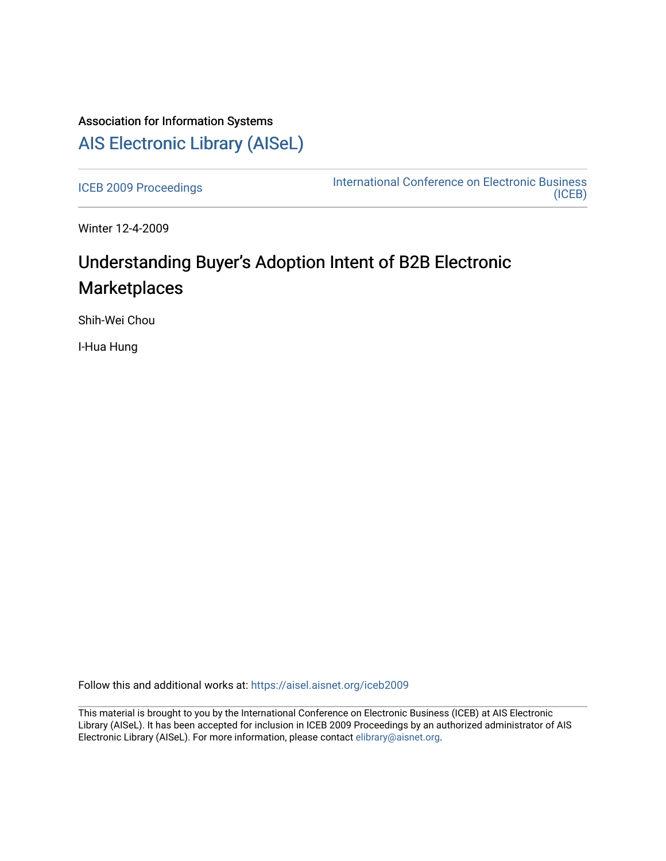# Association for Information Systems [AIS Electronic Library \(AISeL\)](https://aisel.aisnet.org/)

[ICEB 2009 Proceedings](https://aisel.aisnet.org/iceb2009) **International Conference on Electronic Business** [\(ICEB\)](https://aisel.aisnet.org/iceb) 

Winter 12-4-2009

# Understanding Buyer's Adoption Intent of B2B Electronic **Marketplaces**

Shih-Wei Chou

I-Hua Hung

Follow this and additional works at: [https://aisel.aisnet.org/iceb2009](https://aisel.aisnet.org/iceb2009?utm_source=aisel.aisnet.org%2Ficeb2009%2F31&utm_medium=PDF&utm_campaign=PDFCoverPages)

This material is brought to you by the International Conference on Electronic Business (ICEB) at AIS Electronic Library (AISeL). It has been accepted for inclusion in ICEB 2009 Proceedings by an authorized administrator of AIS Electronic Library (AISeL). For more information, please contact [elibrary@aisnet.org.](mailto:elibrary@aisnet.org%3E)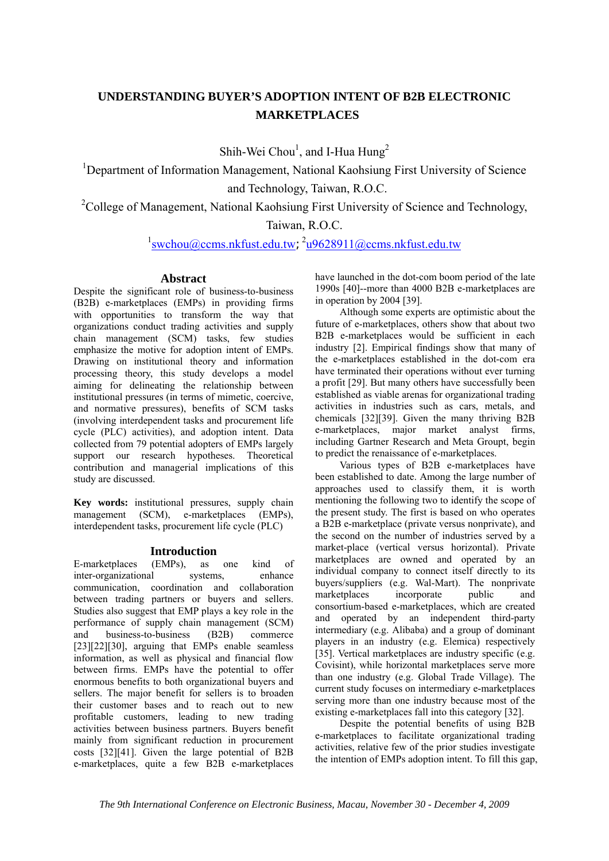# **UNDERSTANDING BUYER'S ADOPTION INTENT OF B2B ELECTRONIC MARKETPLACES**

Shih-Wei Chou<sup>1</sup>, and I-Hua Hung<sup>2</sup>

<sup>1</sup>Department of Information Management, National Kaohsiung First University of Science and Technology, Taiwan, R.O.C.

 $2^2$ College of Management, National Kaohsiung First University of Science and Technology,

# Taiwan, R.O.C.

<sup>1</sup>swchou@ccms.nkfust.edu.tw; <sup>2</sup>u9628911@ccms.nkfust.edu.tw

## **Abstract**

Despite the significant role of business-to-business (B2B) e-marketplaces (EMPs) in providing firms with opportunities to transform the way that organizations conduct trading activities and supply chain management (SCM) tasks, few studies emphasize the motive for adoption intent of EMPs. Drawing on institutional theory and information processing theory, this study develops a model aiming for delineating the relationship between institutional pressures (in terms of mimetic, coercive, and normative pressures), benefits of SCM tasks (involving interdependent tasks and procurement life cycle (PLC) activities), and adoption intent. Data collected from 79 potential adopters of EMPs largely support our research hypotheses. Theoretical contribution and managerial implications of this study are discussed.

**Key words:** institutional pressures, supply chain management (SCM), e-marketplaces (EMPs), interdependent tasks, procurement life cycle (PLC)

# **Introduction**<br>(EMPs), as

E-marketplaces (EMPs), as one kind of inter-organizational systems, enhance communication, coordination and collaboration between trading partners or buyers and sellers. Studies also suggest that EMP plays a key role in the performance of supply chain management (SCM) and business-to-business (B2B) commerce [23][22][30], arguing that EMPs enable seamless information, as well as physical and financial flow between firms. EMPs have the potential to offer enormous benefits to both organizational buyers and sellers. The major benefit for sellers is to broaden their customer bases and to reach out to new profitable customers, leading to new trading activities between business partners. Buyers benefit mainly from significant reduction in procurement costs [32][41]. Given the large potential of B2B e-marketplaces, quite a few B2B e-marketplaces

have launched in the dot-com boom period of the late 1990s [40]--more than 4000 B2B e-marketplaces are in operation by 2004 [39].

Although some experts are optimistic about the future of e-marketplaces, others show that about two B<sub>2B</sub> e-marketplaces would be sufficient in each industry [2]. Empirical findings show that many of the e-marketplaces established in the dot-com era have terminated their operations without ever turning a profit [29]. But many others have successfully been established as viable arenas for organizational trading activities in industries such as cars, metals, and chemicals [32][39]. Given the many thriving B2B e-marketplaces, major market analyst firms, including Gartner Research and Meta Groupt, begin to predict the renaissance of e-marketplaces.

Various types of B2B e-marketplaces have been established to date. Among the large number of approaches used to classify them, it is worth mentioning the following two to identify the scope of the present study. The first is based on who operates a B2B e-marketplace (private versus nonprivate), and the second on the number of industries served by a market-place (vertical versus horizontal). Private marketplaces are owned and operated by an individual company to connect itself directly to its buyers/suppliers (e.g. Wal-Mart). The nonprivate marketplaces incorporate public and consortium-based e-marketplaces, which are created and operated by an independent third-party intermediary (e.g. Alibaba) and a group of dominant players in an industry (e.g. Elemica) respectively [35]. Vertical marketplaces are industry specific (e.g. Covisint), while horizontal marketplaces serve more than one industry (e.g. Global Trade Village). The current study focuses on intermediary e-marketplaces serving more than one industry because most of the existing e-marketplaces fall into this category [32].

Despite the potential benefits of using B2B e-marketplaces to facilitate organizational trading activities, relative few of the prior studies investigate the intention of EMPs adoption intent. To fill this gap,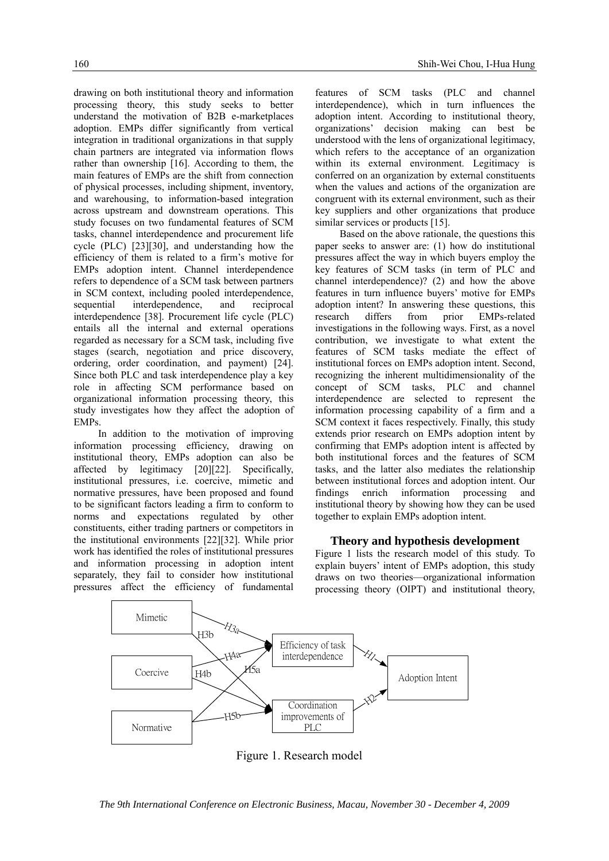drawing on both institutional theory and information processing theory, this study seeks to better understand the motivation of B2B e-marketplaces adoption. EMPs differ significantly from vertical integration in traditional organizations in that supply chain partners are integrated via information flows rather than ownership [16]. According to them, the main features of EMPs are the shift from connection of physical processes, including shipment, inventory, and warehousing, to information-based integration across upstream and downstream operations. This study focuses on two fundamental features of SCM tasks, channel interdependence and procurement life cycle (PLC) [23][30], and understanding how the efficiency of them is related to a firm's motive for EMPs adoption intent. Channel interdependence refers to dependence of a SCM task between partners in SCM context, including pooled interdependence, sequential interdependence, and reciprocal interdependence [38]. Procurement life cycle (PLC) entails all the internal and external operations regarded as necessary for a SCM task, including five stages (search, negotiation and price discovery, ordering, order coordination, and payment) [24]. Since both PLC and task interdependence play a key role in affecting SCM performance based on organizational information processing theory, this study investigates how they affect the adoption of EMPs.

In addition to the motivation of improving information processing efficiency, drawing on institutional theory, EMPs adoption can also be affected by legitimacy [20][22]. Specifically, institutional pressures, i.e. coercive, mimetic and normative pressures, have been proposed and found to be significant factors leading a firm to conform to norms and expectations regulated by other constituents, either trading partners or competitors in the institutional environments [22][32]. While prior work has identified the roles of institutional pressures and information processing in adoption intent separately, they fail to consider how institutional pressures affect the efficiency of fundamental

features of SCM tasks (PLC and channel interdependence), which in turn influences the adoption intent. According to institutional theory, organizations' decision making can best be understood with the lens of organizational legitimacy, which refers to the acceptance of an organization within its external environment. Legitimacy is conferred on an organization by external constituents when the values and actions of the organization are congruent with its external environment, such as their key suppliers and other organizations that produce similar services or products [15].

Based on the above rationale, the questions this paper seeks to answer are: (1) how do institutional pressures affect the way in which buyers employ the key features of SCM tasks (in term of PLC and channel interdependence)? (2) and how the above features in turn influence buyers' motive for EMPs adoption intent? In answering these questions, this research differs from prior EMPs-related investigations in the following ways. First, as a novel contribution, we investigate to what extent the features of SCM tasks mediate the effect of institutional forces on EMPs adoption intent. Second, recognizing the inherent multidimensionality of the concept of SCM tasks, PLC and channel interdependence are selected to represent the information processing capability of a firm and a SCM context it faces respectively. Finally, this study extends prior research on EMPs adoption intent by confirming that EMPs adoption intent is affected by both institutional forces and the features of SCM tasks, and the latter also mediates the relationship between institutional forces and adoption intent. Our findings enrich information processing and institutional theory by showing how they can be used together to explain EMPs adoption intent.

### **Theory and hypothesis development**

Figure 1 lists the research model of this study. To explain buyers' intent of EMPs adoption, this study draws on two theories—organizational information processing theory (OIPT) and institutional theory,



Figure 1. Research model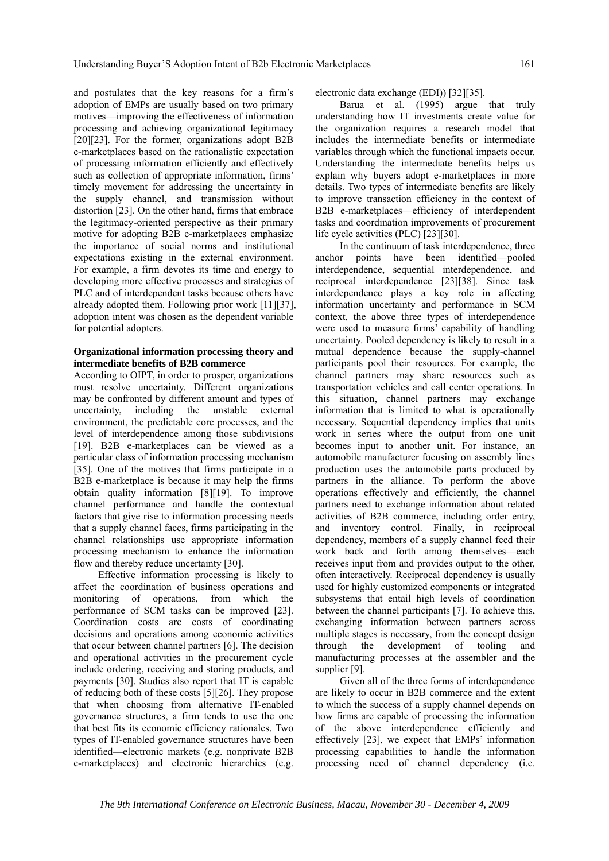and postulates that the key reasons for a firm's adoption of EMPs are usually based on two primary motives—improving the effectiveness of information processing and achieving organizational legitimacy [20][23]. For the former, organizations adopt B2B e-marketplaces based on the rationalistic expectation of processing information efficiently and effectively such as collection of appropriate information, firms' timely movement for addressing the uncertainty in the supply channel, and transmission without distortion [23]. On the other hand, firms that embrace the legitimacy-oriented perspective as their primary motive for adopting B2B e-marketplaces emphasize the importance of social norms and institutional expectations existing in the external environment. For example, a firm devotes its time and energy to developing more effective processes and strategies of PLC and of interdependent tasks because others have already adopted them. Following prior work [11][37], adoption intent was chosen as the dependent variable for potential adopters.

#### **Organizational information processing theory and intermediate benefits of B2B commerce**

According to OIPT, in order to prosper, organizations must resolve uncertainty. Different organizations may be confronted by different amount and types of uncertainty, including the unstable external environment, the predictable core processes, and the level of interdependence among those subdivisions [19]. B2B e-marketplaces can be viewed as a particular class of information processing mechanism [35]. One of the motives that firms participate in a B2B e-marketplace is because it may help the firms obtain quality information [8][19]. To improve channel performance and handle the contextual factors that give rise to information processing needs that a supply channel faces, firms participating in the channel relationships use appropriate information processing mechanism to enhance the information flow and thereby reduce uncertainty [30].

Effective information processing is likely to affect the coordination of business operations and monitoring of operations, from which the performance of SCM tasks can be improved [23]. Coordination costs are costs of coordinating decisions and operations among economic activities that occur between channel partners [6]. The decision and operational activities in the procurement cycle include ordering, receiving and storing products, and payments [30]. Studies also report that IT is capable of reducing both of these costs [5][26]. They propose that when choosing from alternative IT-enabled governance structures, a firm tends to use the one that best fits its economic efficiency rationales. Two types of IT-enabled governance structures have been identified—electronic markets (e.g. nonprivate B2B e-marketplaces) and electronic hierarchies (e.g.

electronic data exchange (EDI)) [32][35].

Barua et al. (1995) argue that truly understanding how IT investments create value for the organization requires a research model that includes the intermediate benefits or intermediate variables through which the functional impacts occur. Understanding the intermediate benefits helps us explain why buyers adopt e-marketplaces in more details. Two types of intermediate benefits are likely to improve transaction efficiency in the context of B2B e-marketplaces—efficiency of interdependent tasks and coordination improvements of procurement life cycle activities (PLC) [23][30].

In the continuum of task interdependence, three anchor points have been identified—pooled interdependence, sequential interdependence, and reciprocal interdependence [23][38]. Since task interdependence plays a key role in affecting information uncertainty and performance in SCM context, the above three types of interdependence were used to measure firms' capability of handling uncertainty. Pooled dependency is likely to result in a mutual dependence because the supply-channel participants pool their resources. For example, the channel partners may share resources such as transportation vehicles and call center operations. In this situation, channel partners may exchange information that is limited to what is operationally necessary. Sequential dependency implies that units work in series where the output from one unit becomes input to another unit. For instance, an automobile manufacturer focusing on assembly lines production uses the automobile parts produced by partners in the alliance. To perform the above operations effectively and efficiently, the channel partners need to exchange information about related activities of B2B commerce, including order entry, and inventory control. Finally, in reciprocal dependency, members of a supply channel feed their work back and forth among themselves—each receives input from and provides output to the other, often interactively. Reciprocal dependency is usually used for highly customized components or integrated subsystems that entail high levels of coordination between the channel participants [7]. To achieve this, exchanging information between partners across multiple stages is necessary, from the concept design through the development of tooling and manufacturing processes at the assembler and the supplier [9].

Given all of the three forms of interdependence are likely to occur in B2B commerce and the extent to which the success of a supply channel depends on how firms are capable of processing the information of the above interdependence efficiently and effectively [23], we expect that EMPs' information processing capabilities to handle the information processing need of channel dependency (i.e.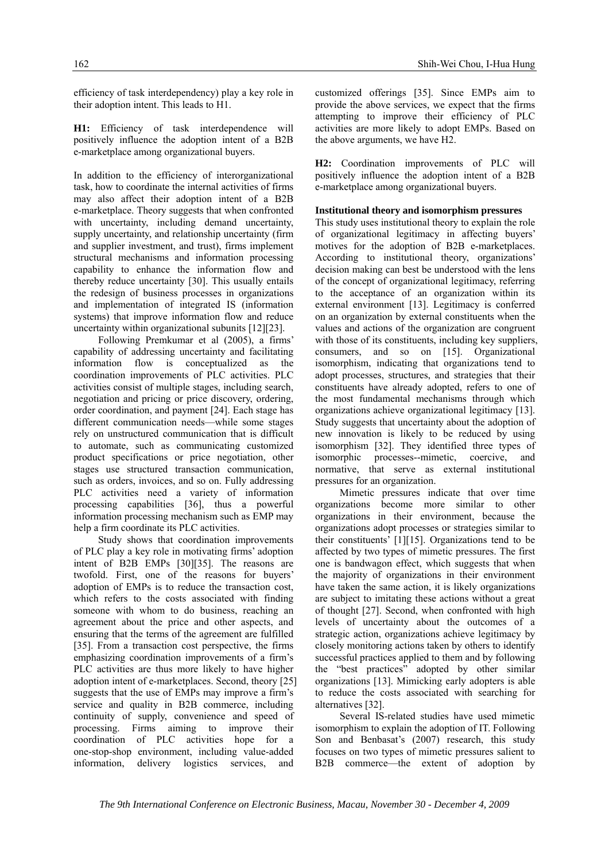efficiency of task interdependency) play a key role in their adoption intent. This leads to H1.

**H1:** Efficiency of task interdependence will positively influence the adoption intent of a B2B e-marketplace among organizational buyers.

In addition to the efficiency of interorganizational task, how to coordinate the internal activities of firms may also affect their adoption intent of a B2B e-marketplace. Theory suggests that when confronted with uncertainty, including demand uncertainty, supply uncertainty, and relationship uncertainty (firm and supplier investment, and trust), firms implement structural mechanisms and information processing capability to enhance the information flow and thereby reduce uncertainty [30]. This usually entails the redesign of business processes in organizations and implementation of integrated IS (information systems) that improve information flow and reduce uncertainty within organizational subunits [12][23].

Following Premkumar et al (2005), a firms' capability of addressing uncertainty and facilitating information flow is conceptualized as the coordination improvements of PLC activities. PLC activities consist of multiple stages, including search, negotiation and pricing or price discovery, ordering, order coordination, and payment [24]. Each stage has different communication needs—while some stages rely on unstructured communication that is difficult to automate, such as communicating customized product specifications or price negotiation, other stages use structured transaction communication, such as orders, invoices, and so on. Fully addressing PLC activities need a variety of information processing capabilities [36], thus a powerful information processing mechanism such as EMP may help a firm coordinate its PLC activities.

Study shows that coordination improvements of PLC play a key role in motivating firms' adoption intent of B2B EMPs [30][35]. The reasons are twofold. First, one of the reasons for buyers' adoption of EMPs is to reduce the transaction cost, which refers to the costs associated with finding someone with whom to do business, reaching an agreement about the price and other aspects, and ensuring that the terms of the agreement are fulfilled [35]. From a transaction cost perspective, the firms emphasizing coordination improvements of a firm's PLC activities are thus more likely to have higher adoption intent of e-marketplaces. Second, theory [25] suggests that the use of EMPs may improve a firm's service and quality in B2B commerce, including continuity of supply, convenience and speed of processing. Firms aiming to improve their coordination of PLC activities hope for a one-stop-shop environment, including value-added information, delivery logistics services, and

customized offerings [35]. Since EMPs aim to provide the above services, we expect that the firms attempting to improve their efficiency of PLC activities are more likely to adopt EMPs. Based on the above arguments, we have H2.

**H2:** Coordination improvements of PLC will positively influence the adoption intent of a B2B e-marketplace among organizational buyers.

#### **Institutional theory and isomorphism pressures**

This study uses institutional theory to explain the role of organizational legitimacy in affecting buyers' motives for the adoption of B2B e-marketplaces. According to institutional theory, organizations' decision making can best be understood with the lens of the concept of organizational legitimacy, referring to the acceptance of an organization within its external environment [13]. Legitimacy is conferred on an organization by external constituents when the values and actions of the organization are congruent with those of its constituents, including key suppliers, consumers, and so on [15]. Organizational isomorphism, indicating that organizations tend to adopt processes, structures, and strategies that their constituents have already adopted, refers to one of the most fundamental mechanisms through which organizations achieve organizational legitimacy [13]. Study suggests that uncertainty about the adoption of new innovation is likely to be reduced by using isomorphism [32]. They identified three types of isomorphic processes--mimetic, coercive, and normative, that serve as external institutional pressures for an organization.

Mimetic pressures indicate that over time organizations become more similar to other organizations in their environment, because the organizations adopt processes or strategies similar to their constituents' [1][15]. Organizations tend to be affected by two types of mimetic pressures. The first one is bandwagon effect, which suggests that when the majority of organizations in their environment have taken the same action, it is likely organizations are subject to imitating these actions without a great of thought [27]. Second, when confronted with high levels of uncertainty about the outcomes of a strategic action, organizations achieve legitimacy by closely monitoring actions taken by others to identify successful practices applied to them and by following the "best practices" adopted by other similar organizations [13]. Mimicking early adopters is able to reduce the costs associated with searching for alternatives [32].

Several IS-related studies have used mimetic isomorphism to explain the adoption of IT. Following Son and Benbasat's (2007) research, this study focuses on two types of mimetic pressures salient to B2B commerce—the extent of adoption by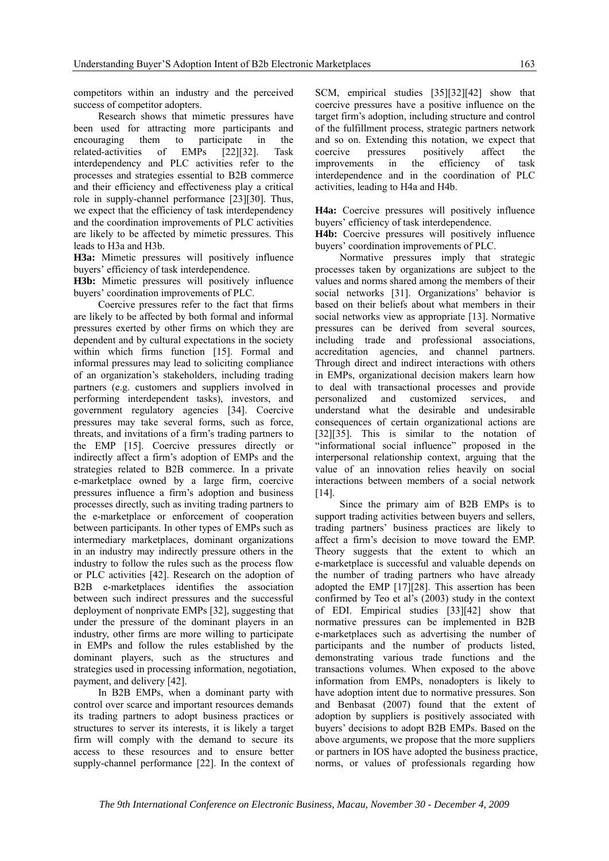competitors within an industry and the perceived success of competitor adopters.

Research shows that mimetic pressures have been used for attracting more participants and encouraging them to participate in the related-activities of EMPs [22][32]. Task interdependency and PLC activities refer to the processes and strategies essential to B2B commerce and their efficiency and effectiveness play a critical role in supply-channel performance [23][30]. Thus, we expect that the efficiency of task interdependency and the coordination improvements of PLC activities are likely to be affected by mimetic pressures. This leads to H3a and H3b.

**H3a:** Mimetic pressures will positively influence buyers' efficiency of task interdependence.

**H3b:** Mimetic pressures will positively influence buyers' coordination improvements of PLC.

Coercive pressures refer to the fact that firms are likely to be affected by both formal and informal pressures exerted by other firms on which they are dependent and by cultural expectations in the society within which firms function [15]. Formal and informal pressures may lead to soliciting compliance of an organization's stakeholders, including trading partners (e.g. customers and suppliers involved in performing interdependent tasks), investors, and government regulatory agencies [34]. Coercive pressures may take several forms, such as force, threats, and invitations of a firm's trading partners to the EMP [15]. Coercive pressures directly or indirectly affect a firm's adoption of EMPs and the strategies related to B2B commerce. In a private e-marketplace owned by a large firm, coercive pressures influence a firm's adoption and business processes directly, such as inviting trading partners to the e-marketplace or enforcement of cooperation between participants. In other types of EMPs such as intermediary marketplaces, dominant organizations in an industry may indirectly pressure others in the industry to follow the rules such as the process flow or PLC activities [42]. Research on the adoption of B2B e-marketplaces identifies the association between such indirect pressures and the successful deployment of nonprivate EMPs [32], suggesting that under the pressure of the dominant players in an industry, other firms are more willing to participate in EMPs and follow the rules established by the dominant players, such as the structures and strategies used in processing information, negotiation, payment, and delivery [42].

In B2B EMPs, when a dominant party with control over scarce and important resources demands its trading partners to adopt business practices or structures to server its interests, it is likely a target firm will comply with the demand to secure its access to these resources and to ensure better supply-channel performance [22]. In the context of

SCM, empirical studies [35][32][42] show that coercive pressures have a positive influence on the target firm's adoption, including structure and control of the fulfillment process, strategic partners network and so on. Extending this notation, we expect that coercive pressures positively affect the improvements in the efficiency of task interdependence and in the coordination of PLC activities, leading to H4a and H4b.

**H4a:** Coercive pressures will positively influence buyers' efficiency of task interdependence.

**H4b:** Coercive pressures will positively influence buyers' coordination improvements of PLC.

Normative pressures imply that strategic processes taken by organizations are subject to the values and norms shared among the members of their social networks [31]. Organizations' behavior is based on their beliefs about what members in their social networks view as appropriate [13]. Normative pressures can be derived from several sources, including trade and professional associations, accreditation agencies, and channel partners. Through direct and indirect interactions with others in EMPs, organizational decision makers learn how to deal with transactional processes and provide personalized and customized services, and understand what the desirable and undesirable consequences of certain organizational actions are [32][35]. This is similar to the notation of "informational social influence" proposed in the interpersonal relationship context, arguing that the value of an innovation relies heavily on social interactions between members of a social network  $[14]$ .

Since the primary aim of B2B EMPs is to support trading activities between buyers and sellers, trading partners' business practices are likely to affect a firm's decision to move toward the EMP. Theory suggests that the extent to which an e-marketplace is successful and valuable depends on the number of trading partners who have already adopted the EMP [17][28]. This assertion has been confirmed by Teo et al's (2003) study in the context of EDI. Empirical studies [33][42] show that normative pressures can be implemented in B2B e-marketplaces such as advertising the number of participants and the number of products listed, demonstrating various trade functions and the transactions volumes. When exposed to the above information from EMPs, nonadopters is likely to have adoption intent due to normative pressures. Son and Benbasat (2007) found that the extent of adoption by suppliers is positively associated with buyers' decisions to adopt B2B EMPs. Based on the above arguments, we propose that the more suppliers or partners in IOS have adopted the business practice, norms, or values of professionals regarding how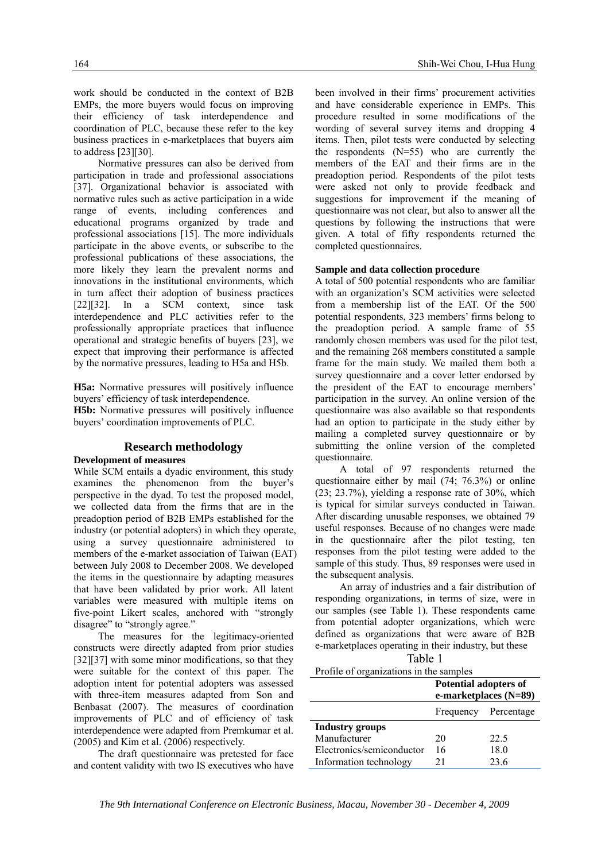work should be conducted in the context of B2B EMPs, the more buyers would focus on improving their efficiency of task interdependence and coordination of PLC, because these refer to the key business practices in e-marketplaces that buyers aim to address [23][30].

Normative pressures can also be derived from participation in trade and professional associations [37]. Organizational behavior is associated with normative rules such as active participation in a wide range of events, including conferences and educational programs organized by trade and professional associations [15]. The more individuals participate in the above events, or subscribe to the professional publications of these associations, the more likely they learn the prevalent norms and innovations in the institutional environments, which in turn affect their adoption of business practices [22][32]. In a SCM context, since task interdependence and PLC activities refer to the professionally appropriate practices that influence operational and strategic benefits of buyers [23], we expect that improving their performance is affected by the normative pressures, leading to H5a and H5b.

**H5a:** Normative pressures will positively influence buyers' efficiency of task interdependence.

**H5b:** Normative pressures will positively influence buyers' coordination improvements of PLC.

#### **Research methodology**

#### **Development of measures**

While SCM entails a dyadic environment, this study examines the phenomenon from the buyer's perspective in the dyad. To test the proposed model, we collected data from the firms that are in the preadoption period of B2B EMPs established for the industry (or potential adopters) in which they operate, using a survey questionnaire administered to members of the e-market association of Taiwan (EAT) between July 2008 to December 2008. We developed the items in the questionnaire by adapting measures that have been validated by prior work. All latent variables were measured with multiple items on five-point Likert scales, anchored with "strongly disagree" to "strongly agree."

The measures for the legitimacy-oriented constructs were directly adapted from prior studies [32][37] with some minor modifications, so that they were suitable for the context of this paper. The adoption intent for potential adopters was assessed with three-item measures adapted from Son and Benbasat (2007). The measures of coordination improvements of PLC and of efficiency of task interdependence were adapted from Premkumar et al. (2005) and Kim et al. (2006) respectively.

The draft questionnaire was pretested for face and content validity with two IS executives who have been involved in their firms' procurement activities and have considerable experience in EMPs. This procedure resulted in some modifications of the wording of several survey items and dropping 4 items. Then, pilot tests were conducted by selecting the respondents  $(N=55)$  who are currently the members of the EAT and their firms are in the preadoption period. Respondents of the pilot tests were asked not only to provide feedback and suggestions for improvement if the meaning of questionnaire was not clear, but also to answer all the questions by following the instructions that were given. A total of fifty respondents returned the completed questionnaires.

#### **Sample and data collection procedure**

A total of 500 potential respondents who are familiar with an organization's SCM activities were selected from a membership list of the EAT. Of the 500 potential respondents, 323 members' firms belong to the preadoption period. A sample frame of 55 randomly chosen members was used for the pilot test, and the remaining 268 members constituted a sample frame for the main study. We mailed them both a survey questionnaire and a cover letter endorsed by the president of the EAT to encourage members' participation in the survey. An online version of the questionnaire was also available so that respondents had an option to participate in the study either by mailing a completed survey questionnaire or by submitting the online version of the completed questionnaire.

A total of 97 respondents returned the questionnaire either by mail (74; 76.3%) or online (23; 23.7%), yielding a response rate of 30%, which is typical for similar surveys conducted in Taiwan. After discarding unusable responses, we obtained 79 useful responses. Because of no changes were made in the questionnaire after the pilot testing, ten responses from the pilot testing were added to the sample of this study. Thus, 89 responses were used in the subsequent analysis.

An array of industries and a fair distribution of responding organizations, in terms of size, were in our samples (see Table 1). These respondents came from potential adopter organizations, which were defined as organizations that were aware of B2B e-marketplaces operating in their industry, but these

| . .<br>Π. |  |
|-----------|--|

|  |  | Profile of organizations in the samples |
|--|--|-----------------------------------------|

| The couple of the contract of the contract of the second contract of the contract of the contract of the contract of the contract of the contract of the contract of the contract of the contract of the contract of the contr | <b>Potential adopters of</b><br>e-marketplaces (N=89) |                      |  |  |
|--------------------------------------------------------------------------------------------------------------------------------------------------------------------------------------------------------------------------------|-------------------------------------------------------|----------------------|--|--|
|                                                                                                                                                                                                                                |                                                       | Frequency Percentage |  |  |
| <b>Industry groups</b>                                                                                                                                                                                                         |                                                       |                      |  |  |
| Manufacturer                                                                                                                                                                                                                   | 20                                                    | 22.5                 |  |  |
| Electronics/semiconductor                                                                                                                                                                                                      | 16                                                    | 18.0                 |  |  |
| Information technology                                                                                                                                                                                                         | 21                                                    | 23.6                 |  |  |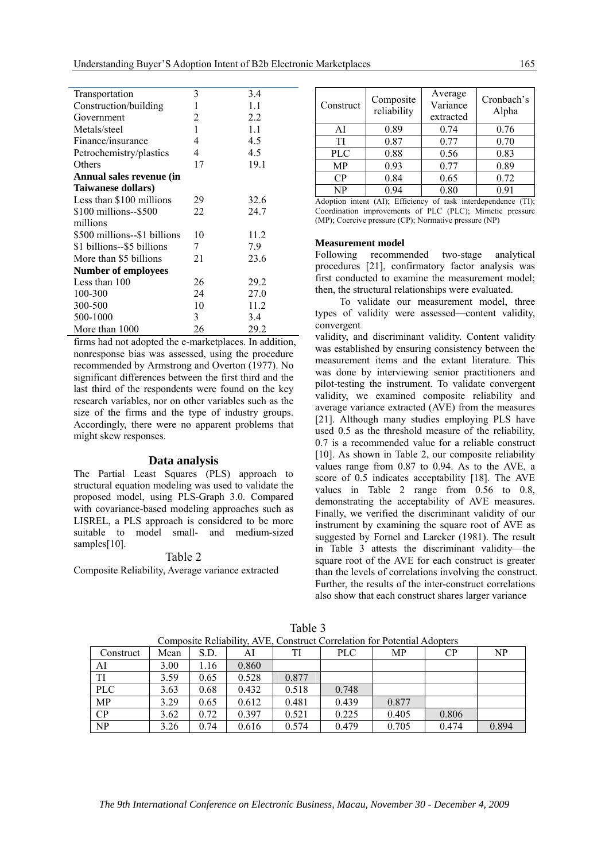| Transportation               | 3  | 3.4  |  |  |  |  |
|------------------------------|----|------|--|--|--|--|
| Construction/building        | 1  | 1.1  |  |  |  |  |
| Government                   | 2  | 2.2  |  |  |  |  |
| Metals/steel                 | 1  | 1.1  |  |  |  |  |
| Finance/insurance            | 4  | 4.5  |  |  |  |  |
| Petrochemistry/plastics      | 4  | 4.5  |  |  |  |  |
| Others                       | 17 | 19.1 |  |  |  |  |
| Annual sales revenue (in     |    |      |  |  |  |  |
| Taiwanese dollars)           |    |      |  |  |  |  |
| Less than \$100 millions     | 29 | 32.6 |  |  |  |  |
| \$100 millions--\$500        | 22 | 24.7 |  |  |  |  |
| millions                     |    |      |  |  |  |  |
| \$500 millions--\$1 billions | 10 | 11.2 |  |  |  |  |
| \$1 billions--\$5 billions   | 7  | 7.9  |  |  |  |  |
| More than \$5 billions       | 21 | 23.6 |  |  |  |  |
| <b>Number of employees</b>   |    |      |  |  |  |  |
| Less than 100                | 26 | 29.2 |  |  |  |  |
| 100-300                      | 24 | 27.0 |  |  |  |  |
| 300-500                      | 10 | 11.2 |  |  |  |  |
| 500-1000                     | 3  | 3.4  |  |  |  |  |
| More than 1000               | 26 | 29.2 |  |  |  |  |

firms had not adopted the e-marketplaces. In addition, nonresponse bias was assessed, using the procedure recommended by Armstrong and Overton (1977). No significant differences between the first third and the last third of the respondents were found on the key research variables, nor on other variables such as the size of the firms and the type of industry groups. Accordingly, there were no apparent problems that might skew responses.

#### **Data analysis**

The Partial Least Squares (PLS) approach to structural equation modeling was used to validate the proposed model, using PLS-Graph 3.0. Compared with covariance-based modeling approaches such as LISREL, a PLS approach is considered to be more suitable to model small- and medium-sized samples[10].

### Table 2

Composite Reliability, Average variance extracted

| Construct                                                      | Composite<br>reliability | Average<br>Variance<br>extracted | Cronbach's<br>Alpha |  |
|----------------------------------------------------------------|--------------------------|----------------------------------|---------------------|--|
| AI                                                             | 0.89                     | 0.74                             | 0.76                |  |
| TI                                                             | 0.87                     | 0.77                             | 0.70                |  |
| <b>PLC</b>                                                     | 0.88                     | 0.56                             | 0.83                |  |
| MP                                                             | 0.93                     | 0.77                             | 0.89                |  |
| CP                                                             | 0.84                     | 0.65                             | 0.72                |  |
| NP                                                             | 0.94                     | 0.80                             | 0.91                |  |
| Adoption intent (AI); Efficiency of task interdependence (TI); |                          |                                  |                     |  |

Coordination improvements of PLC (PLC); Mimetic pressure (MP); Coercive pressure (CP); Normative pressure (NP)

#### **Measurement model**

Following recommended two-stage analytical procedures [21], confirmatory factor analysis was first conducted to examine the measurement model; then, the structural relationships were evaluated.

To validate our measurement model, three types of validity were assessed—content validity, convergent

validity, and discriminant validity. Content validity was established by ensuring consistency between the measurement items and the extant literature. This was done by interviewing senior practitioners and pilot-testing the instrument. To validate convergent validity, we examined composite reliability and average variance extracted (AVE) from the measures [21]. Although many studies employing PLS have used 0.5 as the threshold measure of the reliability, 0.7 is a recommended value for a reliable construct [10]. As shown in Table 2, our composite reliability values range from 0.87 to 0.94. As to the AVE, a score of 0.5 indicates acceptability [18]. The AVE values in Table 2 range from 0.56 to 0.8, demonstrating the acceptability of AVE measures. Finally, we verified the discriminant validity of our instrument by examining the square root of AVE as suggested by Fornel and Larcker (1981). The result in Table 3 attests the discriminant validity—the square root of the AVE for each construct is greater than the levels of correlations involving the construct. Further, the results of the inter-construct correlations also show that each construct shares larger variance

|            | Composite regiability, <i>TVD</i> , Construct Correlation for Totential Peoplets |      |       |       |            |       |       |       |
|------------|----------------------------------------------------------------------------------|------|-------|-------|------------|-------|-------|-------|
| Construct  | Mean                                                                             | S.D. | Al    | TI    | <b>PLC</b> | MP    | CР    | NP    |
| AI         | 3.00                                                                             | 1.16 | 0.860 |       |            |       |       |       |
| TI         | 3.59                                                                             | 0.65 | 0.528 | 0.877 |            |       |       |       |
| <b>PLC</b> | 3.63                                                                             | 0.68 | 0.432 | 0.518 | 0.748      |       |       |       |
| <b>MP</b>  | 3.29                                                                             | 0.65 | 0.612 | 0.481 | 0.439      | 0.877 |       |       |
| CP         | 3.62                                                                             | 0.72 | 0.397 | 0.521 | 0.225      | 0.405 | 0.806 |       |
| NP         | 3.26                                                                             | 0.74 | 0.616 | 0.574 | 0.479      | 0.705 | 0.474 | 0.894 |

Table 3 Composite Reliability, AVE, Construct Correlation for Potential Adopters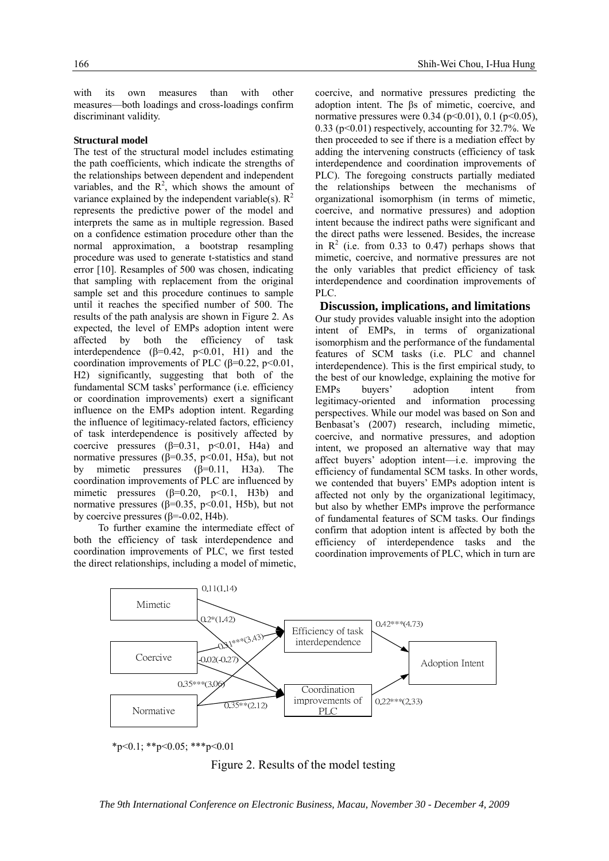with its own measures than with other measures—both loadings and cross-loadings confirm discriminant validity.

#### **Structural model**

The test of the structural model includes estimating the path coefficients, which indicate the strengths of the relationships between dependent and independent variables, and the  $R^2$ , which shows the amount of variance explained by the independent variable(s).  $R^2$ represents the predictive power of the model and interprets the same as in multiple regression. Based on a confidence estimation procedure other than the normal approximation, a bootstrap resampling procedure was used to generate t-statistics and stand error [10]. Resamples of 500 was chosen, indicating that sampling with replacement from the original sample set and this procedure continues to sample until it reaches the specified number of 500. The results of the path analysis are shown in Figure 2. As expected, the level of EMPs adoption intent were affected by both the efficiency of task interdependence ( $β=0.42$ ,  $p<0.01$ , H1) and the coordination improvements of PLC ( $\beta$ =0.22, p<0.01, H2) significantly, suggesting that both of the fundamental SCM tasks' performance (i.e. efficiency or coordination improvements) exert a significant influence on the EMPs adoption intent. Regarding the influence of legitimacy-related factors, efficiency of task interdependence is positively affected by coercive pressures  $(\beta=0.31, p<0.01, H4a)$  and normative pressures ( $β=0.35$ ,  $p<0.01$ , H5a), but not by mimetic pressures  $(\beta=0.11, H3a)$ . The coordination improvements of PLC are influenced by mimetic pressures  $(\beta=0.20, p<0.1, H3b)$  and normative pressures ( $\beta$ =0.35, p<0.01, H5b), but not by coercive pressures  $(\beta = -0.02, \text{H4b})$ .

To further examine the intermediate effect of both the efficiency of task interdependence and coordination improvements of PLC, we first tested the direct relationships, including a model of mimetic, coercive, and normative pressures predicting the adoption intent. The βs of mimetic, coercive, and normative pressures were 0.34 (p<0.01), 0.1 (p<0.05), 0.33 ( $p<0.01$ ) respectively, accounting for 32.7%. We then proceeded to see if there is a mediation effect by adding the intervening constructs (efficiency of task interdependence and coordination improvements of PLC). The foregoing constructs partially mediated the relationships between the mechanisms of organizational isomorphism (in terms of mimetic, coercive, and normative pressures) and adoption intent because the indirect paths were significant and the direct paths were lessened. Besides, the increase in  $R^2$  (i.e. from 0.33 to 0.47) perhaps shows that mimetic, coercive, and normative pressures are not the only variables that predict efficiency of task interdependence and coordination improvements of PLC.

### **Discussion, implications, and limitations**

Our study provides valuable insight into the adoption intent of EMPs, in terms of organizational isomorphism and the performance of the fundamental features of SCM tasks (i.e. PLC and channel interdependence). This is the first empirical study, to the best of our knowledge, explaining the motive for EMPs buyers' adoption intent from legitimacy-oriented and information processing perspectives. While our model was based on Son and Benbasat's (2007) research, including mimetic, coercive, and normative pressures, and adoption intent, we proposed an alternative way that may affect buyers' adoption intent—i.e. improving the efficiency of fundamental SCM tasks. In other words, we contended that buyers' EMPs adoption intent is affected not only by the organizational legitimacy, but also by whether EMPs improve the performance of fundamental features of SCM tasks. Our findings confirm that adoption intent is affected by both the efficiency of interdependence tasks and the coordination improvements of PLC, which in turn are



 $*_{p<0.1}$ ;  $*_{p<0.05}$ ;  $*_{p<0.01}$ 

Figure 2. Results of the model testing

*The 9th International Conference on Electronic Business, Macau, November 30 - December 4, 2009*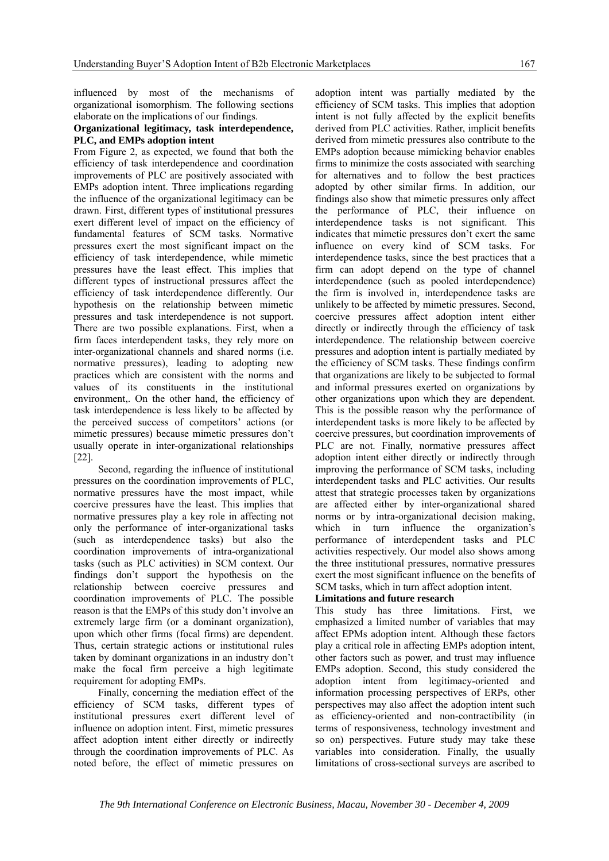influenced by most of the mechanisms of organizational isomorphism. The following sections elaborate on the implications of our findings.

## **Organizational legitimacy, task interdependence, PLC, and EMPs adoption intent**

From Figure 2, as expected, we found that both the efficiency of task interdependence and coordination improvements of PLC are positively associated with EMPs adoption intent. Three implications regarding the influence of the organizational legitimacy can be drawn. First, different types of institutional pressures exert different level of impact on the efficiency of fundamental features of SCM tasks. Normative pressures exert the most significant impact on the efficiency of task interdependence, while mimetic pressures have the least effect. This implies that different types of instructional pressures affect the efficiency of task interdependence differently. Our hypothesis on the relationship between mimetic pressures and task interdependence is not support. There are two possible explanations. First, when a firm faces interdependent tasks, they rely more on inter-organizational channels and shared norms (i.e. normative pressures), leading to adopting new practices which are consistent with the norms and values of its constituents in the institutional environment,. On the other hand, the efficiency of task interdependence is less likely to be affected by the perceived success of competitors' actions (or mimetic pressures) because mimetic pressures don't usually operate in inter-organizational relationships [22].

Second, regarding the influence of institutional pressures on the coordination improvements of PLC, normative pressures have the most impact, while coercive pressures have the least. This implies that normative pressures play a key role in affecting not only the performance of inter-organizational tasks (such as interdependence tasks) but also the coordination improvements of intra-organizational tasks (such as PLC activities) in SCM context. Our findings don't support the hypothesis on the relationship between coercive pressures and coordination improvements of PLC. The possible reason is that the EMPs of this study don't involve an extremely large firm (or a dominant organization), upon which other firms (focal firms) are dependent. Thus, certain strategic actions or institutional rules taken by dominant organizations in an industry don't make the focal firm perceive a high legitimate requirement for adopting EMPs.

Finally, concerning the mediation effect of the efficiency of SCM tasks, different types of institutional pressures exert different level of influence on adoption intent. First, mimetic pressures affect adoption intent either directly or indirectly through the coordination improvements of PLC. As noted before, the effect of mimetic pressures on

adoption intent was partially mediated by the efficiency of SCM tasks. This implies that adoption intent is not fully affected by the explicit benefits derived from PLC activities. Rather, implicit benefits derived from mimetic pressures also contribute to the EMPs adoption because mimicking behavior enables firms to minimize the costs associated with searching for alternatives and to follow the best practices adopted by other similar firms. In addition, our findings also show that mimetic pressures only affect the performance of PLC, their influence on interdependence tasks is not significant. This indicates that mimetic pressures don't exert the same influence on every kind of SCM tasks. For interdependence tasks, since the best practices that a firm can adopt depend on the type of channel interdependence (such as pooled interdependence) the firm is involved in, interdependence tasks are unlikely to be affected by mimetic pressures. Second, coercive pressures affect adoption intent either directly or indirectly through the efficiency of task interdependence. The relationship between coercive pressures and adoption intent is partially mediated by the efficiency of SCM tasks. These findings confirm that organizations are likely to be subjected to formal and informal pressures exerted on organizations by other organizations upon which they are dependent. This is the possible reason why the performance of interdependent tasks is more likely to be affected by coercive pressures, but coordination improvements of PLC are not. Finally, normative pressures affect adoption intent either directly or indirectly through improving the performance of SCM tasks, including interdependent tasks and PLC activities. Our results attest that strategic processes taken by organizations are affected either by inter-organizational shared norms or by intra-organizational decision making, which in turn influence the organization's performance of interdependent tasks and PLC activities respectively. Our model also shows among the three institutional pressures, normative pressures exert the most significant influence on the benefits of SCM tasks, which in turn affect adoption intent.

#### **Limitations and future research**

This study has three limitations. First, we emphasized a limited number of variables that may affect EPMs adoption intent. Although these factors play a critical role in affecting EMPs adoption intent, other factors such as power, and trust may influence EMPs adoption. Second, this study considered the adoption intent from legitimacy-oriented and information processing perspectives of ERPs, other perspectives may also affect the adoption intent such as efficiency-oriented and non-contractibility (in terms of responsiveness, technology investment and so on) perspectives. Future study may take these variables into consideration. Finally, the usually limitations of cross-sectional surveys are ascribed to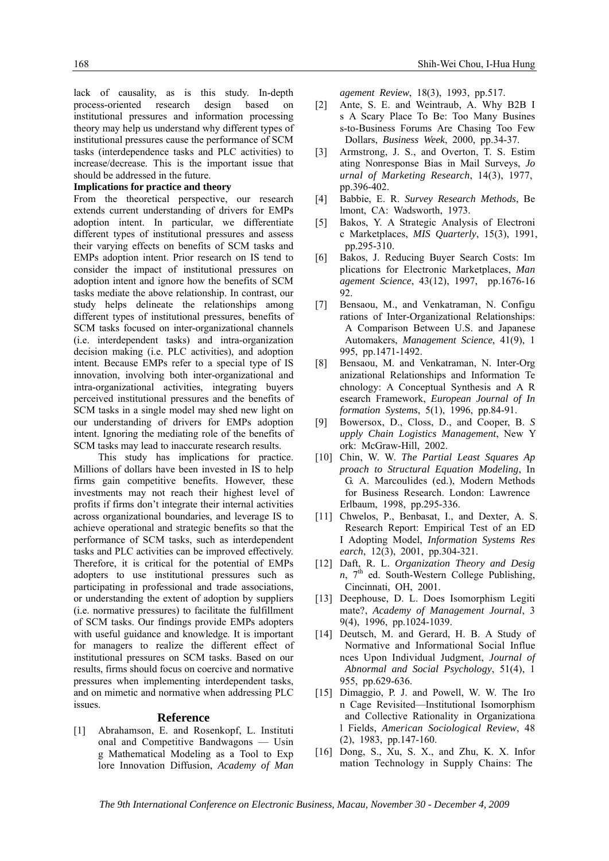lack of causality, as is this study. In-depth process-oriented research design based on institutional pressures and information processing theory may help us understand why different types of institutional pressures cause the performance of SCM tasks (interdependence tasks and PLC activities) to increase/decrease. This is the important issue that should be addressed in the future.

#### **Implications for practice and theory**

From the theoretical perspective, our research extends current understanding of drivers for EMPs adoption intent. In particular, we differentiate different types of institutional pressures and assess their varying effects on benefits of SCM tasks and EMPs adoption intent. Prior research on IS tend to consider the impact of institutional pressures on adoption intent and ignore how the benefits of SCM tasks mediate the above relationship. In contrast, our study helps delineate the relationships among different types of institutional pressures, benefits of SCM tasks focused on inter-organizational channels (i.e. interdependent tasks) and intra-organization decision making (i.e. PLC activities), and adoption intent. Because EMPs refer to a special type of IS innovation, involving both inter-organizational and intra-organizational activities, integrating buyers perceived institutional pressures and the benefits of SCM tasks in a single model may shed new light on our understanding of drivers for EMPs adoption intent. Ignoring the mediating role of the benefits of SCM tasks may lead to inaccurate research results.

This study has implications for practice. Millions of dollars have been invested in IS to help firms gain competitive benefits. However, these investments may not reach their highest level of profits if firms don't integrate their internal activities across organizational boundaries, and leverage IS to achieve operational and strategic benefits so that the performance of SCM tasks, such as interdependent tasks and PLC activities can be improved effectively. Therefore, it is critical for the potential of EMPs adopters to use institutional pressures such as participating in professional and trade associations, or understanding the extent of adoption by suppliers (i.e. normative pressures) to facilitate the fulfillment of SCM tasks. Our findings provide EMPs adopters with useful guidance and knowledge. It is important for managers to realize the different effect of institutional pressures on SCM tasks. Based on our results, firms should focus on coercive and normative pressures when implementing interdependent tasks, and on mimetic and normative when addressing PLC issues.

#### **Reference**

[1] Abrahamson, E. and Rosenkopf, L. Instituti onal and Competitive Bandwagons — Usin g Mathematical Modeling as a Tool to Exp lore Innovation Diffusion, *Academy of Man* *agement Review*, 18(3), 1993, pp.517.

- [2] Ante, S. E. and Weintraub, A. Why B2B I s A Scary Place To Be: Too Many Busines s-to-Business Forums Are Chasing Too Few Dollars, *Business Week*, 2000, pp.34-37.
- [3] Armstrong, J. S., and Overton, T. S. Estim ating Nonresponse Bias in Mail Surveys, *Jo urnal of Marketing Research*, 14(3), 1977, pp.396-402.
- [4] Babbie, E. R. *Survey Research Methods*, Be lmont, CA: Wadsworth, 1973.
- [5] Bakos, Y. A Strategic Analysis of Electroni c Marketplaces, *MIS Quarterly*, 15(3), 1991, pp.295-310.
- [6] Bakos, J. Reducing Buyer Search Costs: Im plications for Electronic Marketplaces, *Man agement Science*, 43(12), 1997, pp.1676-16 92.
- [7] Bensaou, M., and Venkatraman, N. Configu rations of Inter-Organizational Relationships: A Comparison Between U.S. and Japanese Automakers, *Management Science*, 41(9), 1 995, pp.1471-1492.
- [8] Bensaou, M. and Venkatraman, N. Inter-Org anizational Relationships and Information Te chnology: A Conceptual Synthesis and A R esearch Framework, *European Journal of In formation Systems*, 5(1), 1996, pp.84-91.
- [9] Bowersox, D., Closs, D., and Cooper, B. *S upply Chain Logistics Management*, New Y ork: McGraw-Hill, 2002.
- [10] Chin, W. W. *The Partial Least Squares Ap proach to Structural Equation Modeling*, In G. A. Marcoulides (ed.), Modern Methods for Business Research. London: Lawrence Erlbaum, 1998, pp.295-336.
- [11] Chwelos, P., Benbasat, I., and Dexter, A. S. Research Report: Empirical Test of an ED I Adopting Model, *Information Systems Res earch*, 12(3), 2001, pp.304-321.
- [12] Daft, R. L. *Organization Theory and Desig*  $n$ ,  $7<sup>th</sup>$  ed. South-Western College Publishing, Cincinnati, OH, 2001.
- [13] Deephouse, D. L. Does Isomorphism Legiti mate?, *Academy of Management Journal*, 3 9(4), 1996, pp.1024-1039.
- [14] Deutsch, M. and Gerard, H. B. A Study of Normative and Informational Social Influe nces Upon Individual Judgment, *Journal of Abnormal and Social Psychology*, 51(4), 1 955, pp.629-636.
- [15] Dimaggio, P. J. and Powell, W. W. The Iro n Cage Revisited—Institutional Isomorphism and Collective Rationality in Organizationa l Fields, *American Sociological Review*, 48 (2), 1983, pp.147-160.
- [16] Dong, S., Xu, S. X., and Zhu, K. X. Infor mation Technology in Supply Chains: The